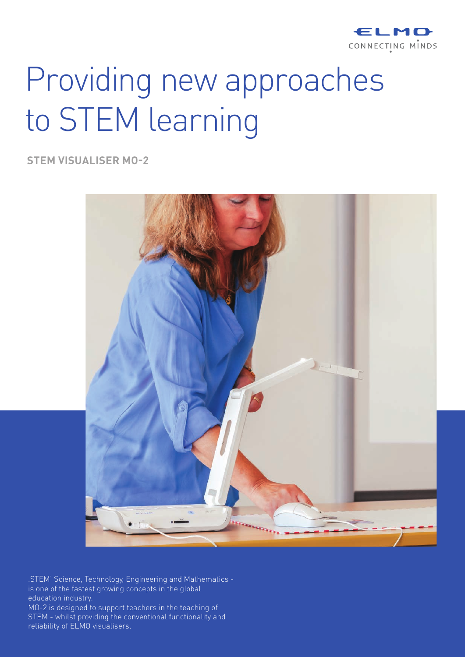

# Providing new approaches to STEM learning

**STEM VISUALISER MO-2**



'STEM' Science, Technology, Engineering and Mathematics is one of the fastest growing concepts in the global education industry. MO-2 is designed to support teachers in the teaching of STEM - whilst providing the conventional functionality and reliability of ELMO visualisers.